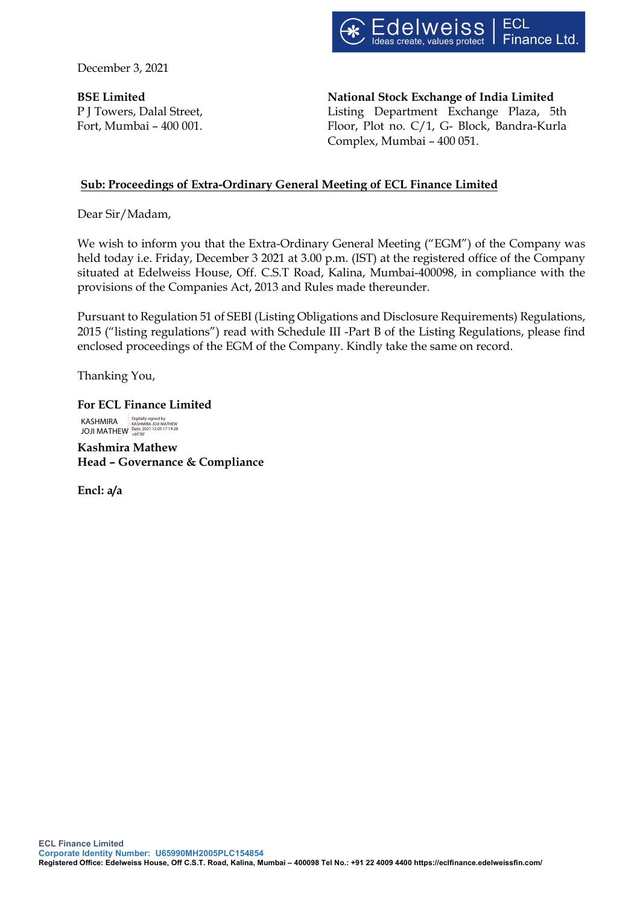

December 3, 2021

**BSE Limited** P J Towers, Dalal Street, Fort, Mumbai – 400 001. **National Stock Exchange of India Limited** Listing Department Exchange Plaza, 5th Floor, Plot no. C/1, G- Block, Bandra-Kurla Complex, Mumbai – 400 051.

## **Sub: Proceedings of Extra-Ordinary General Meeting of ECL Finance Limited**

Dear Sir/Madam,

We wish to inform you that the Extra-Ordinary General Meeting ("EGM") of the Company was held today i.e. Friday, December 3 2021 at 3.00 p.m. (IST) at the registered office of the Company situated at Edelweiss House, Off. C.S.T Road, Kalina, Mumbai-400098, in compliance with the provisions of the Companies Act, 2013 and Rules made thereunder.

Pursuant to Regulation 51 of SEBI (Listing Obligations and Disclosure Requirements) Regulations, 2015 ("listing regulations") read with Schedule III -Part B of the Listing Regulations, please find enclosed proceedings of the EGM of the Company. Kindly take the same on record.

Thanking You,

**For ECL Finance Limited** KASHMIRA JOJI MATHEW Digitally signed by KASHMIRA JOJI MATHEW Date: 2021.12.03 17:19:28 +05'30'

**Kashmira Mathew Head – Governance & Compliance** 

**Encl: a/a**